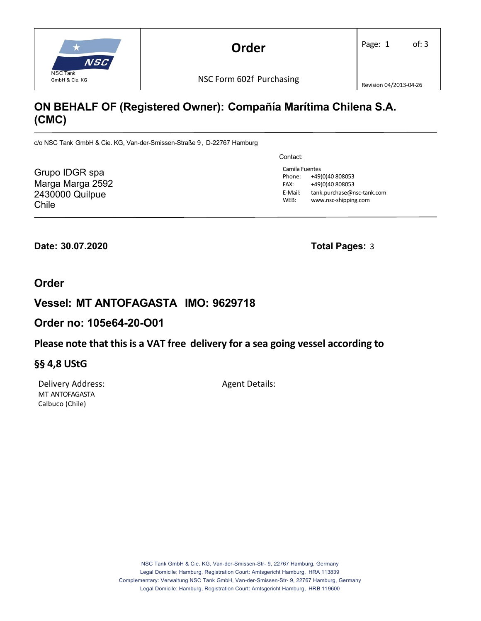

# **ON BEHALF OF (Registered Owner): Compañía Marítima Chilena S.A. (CMC)**

c/o NSC Tank GmbH & Cie. KG, Van-der-Smissen-Straße 9, D-22767 Hamburg

Grupo IDGR spa Marga Marga 2592 2430000 Quilpue Chile

Contact:

Camila Fuentes Phone: +49(0)40 808053 FAX: +49(0)40 808053 E‐Mail: tank.purchase@nsc‐tank.com WEB: www.nsc-shipping.com

**Date: 30.07.2020 Total Pages:** 3

### **Order**

## **Vessel: MT ANTOFAGASTA IMO: 9629718**

### **Order no: 105e64-20-O01**

### **Please note that this is a VAT free delivery for a sea going vessel according to**

### **§§ 4,8 UStG**

Delivery Address: Agent Details: MT ANTOFAGASTA Calbuco (Chile)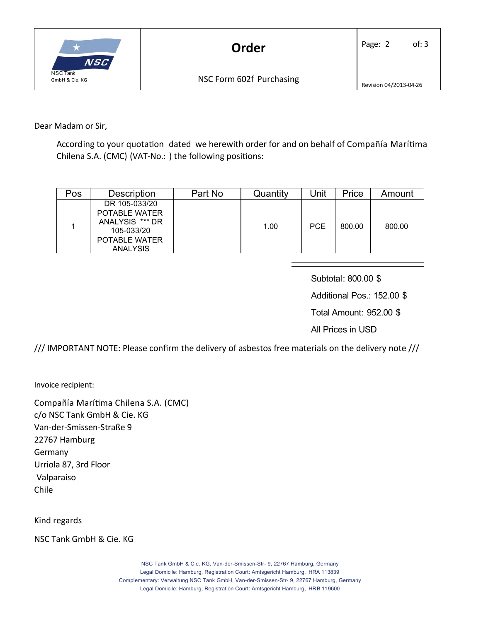

Dear Madam or Sir,

According to your quotation dated we herewith order for and on behalf of Compañía Marítima Chilena S.A. (CMC) (VAT-No.: ) the following positions:

| Pos | <b>Description</b>                                                                                         | Part No | Quantity | Jnit       | Price  | Amount |
|-----|------------------------------------------------------------------------------------------------------------|---------|----------|------------|--------|--------|
|     | DR 105-033/20<br><b>POTABLE WATER</b><br>ANALYSIS *** DR<br>105-033/20<br>POTABLE WATER<br><b>ANALYSIS</b> |         | 1.00     | <b>PCE</b> | 800.00 | 800.00 |

Subtotal: 800.00 \$

Additional Pos.: 152.00 \$

Total Amount: 952.00 \$

All Prices in USD

/// IMPORTANT NOTE: Please confirm the delivery of asbestos free materials on the delivery note ///

Invoice recipient:

Compañía Marítima Chilena S.A. (CMC) c/o NSC Tank GmbH & Cie. KG Van‐der‐Smissen‐Straße 9 22767 Hamburg **Germany** Urriola 87, 3rd Floor Valparaiso Chile

Kind regards

NSC Tank GmbH & Cie. KG